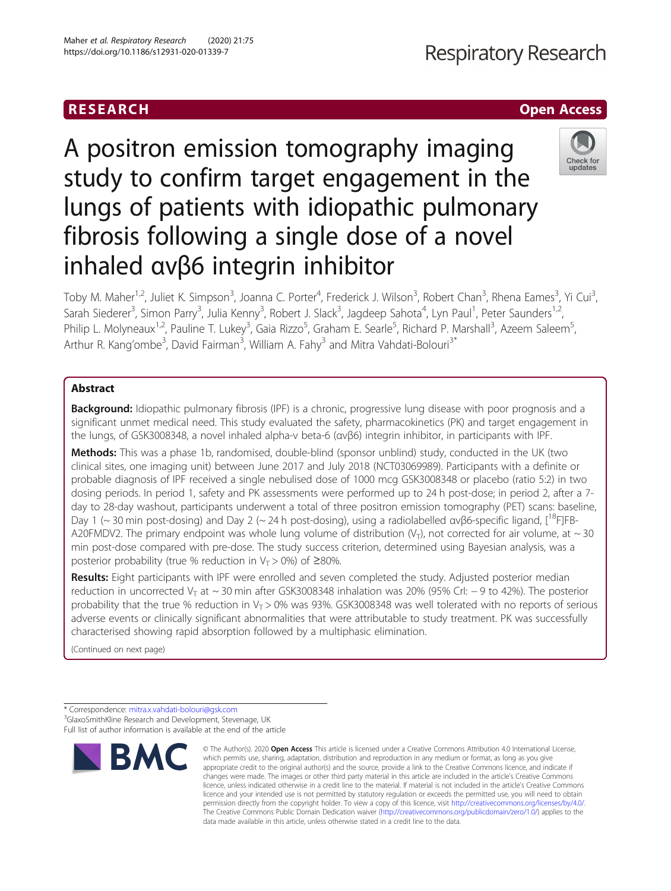### RESEARCH **RESEARCH CHOOSE ACCESS**

# **Respiratory Research**

# A positron emission tomography imaging study to confirm target engagement in the lungs of patients with idiopathic pulmonary fibrosis following a single dose of a novel inhaled αvβ6 integrin inhibitor



Toby M. Maher<sup>1,2</sup>, Juliet K. Simpson<sup>3</sup>, Joanna C. Porter<sup>4</sup>, Frederick J. Wilson<sup>3</sup>, Robert Chan<sup>3</sup>, Rhena Eames<sup>3</sup>, Yi Cui<sup>3</sup> .<br>. Sarah Siederer<sup>3</sup>, Simon Parry<sup>3</sup>, Julia Kenny<sup>3</sup>, Robert J. Slack<sup>3</sup>, Jagdeep Sahota<sup>4</sup>, Lyn Paul<sup>1</sup>, Peter Saunders<sup>1,2</sup>, Philip L. Molyneaux<sup>1,2</sup>, Pauline T. Lukey<sup>3</sup>, Gaia Rizzo<sup>5</sup>, Graham E. Searle<sup>5</sup>, Richard P. Marshall<sup>3</sup>, Azeem Saleem<sup>5</sup> , Arthur R. Kang'ombe<sup>3</sup>, David Fairman<sup>3</sup>, William A. Fahy<sup>3</sup> and Mitra Vahdati-Bolouri<sup>3\*</sup>

### Abstract

**Background:** Idiopathic pulmonary fibrosis (IPF) is a chronic, progressive lung disease with poor prognosis and a significant unmet medical need. This study evaluated the safety, pharmacokinetics (PK) and target engagement in the lungs, of GSK3008348, a novel inhaled alpha-v beta-6 (αvβ6) integrin inhibitor, in participants with IPF.

Methods: This was a phase 1b, randomised, double-blind (sponsor unblind) study, conducted in the UK (two clinical sites, one imaging unit) between June 2017 and July 2018 (NCT03069989). Participants with a definite or probable diagnosis of IPF received a single nebulised dose of 1000 mcg GSK3008348 or placebo (ratio 5:2) in two dosing periods. In period 1, safety and PK assessments were performed up to 24 h post-dose; in period 2, after a 7 day to 28-day washout, participants underwent a total of three positron emission tomography (PET) scans: baseline, Day 1 (~ 30 min post-dosing) and Day 2 (~ 24 h post-dosing), using a radiolabelled  $\alpha\gamma\beta$ 6-specific ligand, [<sup>18</sup>F]FB-A20FMDV2. The primary endpoint was whole lung volume of distribution  $(V_T)$ , not corrected for air volume, at  $\sim$  30 min post-dose compared with pre-dose. The study success criterion, determined using Bayesian analysis, was a posterior probability (true % reduction in  $V_T > 0$ %) of  $\geq 80$ %.

Results: Eight participants with IPF were enrolled and seven completed the study. Adjusted posterior median reduction in uncorrected V<sub>T</sub> at ~ 30 min after GSK3008348 inhalation was 20% (95% CrI: − 9 to 42%). The posterior probability that the true % reduction in  $V_T > 0\%$  was 93%. GSK3008348 was well tolerated with no reports of serious adverse events or clinically significant abnormalities that were attributable to study treatment. PK was successfully characterised showing rapid absorption followed by a multiphasic elimination.

(Continued on next page)

<sup>\*</sup> Correspondence: [mitra.x.vahdati-bolouri@gsk.com](mailto:mitra.x.vahdati-bolouri@gsk.com) <sup>3</sup> <sup>3</sup>GlaxoSmithKline Research and Development, Stevenage, UK Full list of author information is available at the end of the article



<sup>©</sup> The Author(s), 2020 **Open Access** This article is licensed under a Creative Commons Attribution 4.0 International License, which permits use, sharing, adaptation, distribution and reproduction in any medium or format, as long as you give appropriate credit to the original author(s) and the source, provide a link to the Creative Commons licence, and indicate if changes were made. The images or other third party material in this article are included in the article's Creative Commons licence, unless indicated otherwise in a credit line to the material. If material is not included in the article's Creative Commons licence and your intended use is not permitted by statutory regulation or exceeds the permitted use, you will need to obtain permission directly from the copyright holder. To view a copy of this licence, visit [http://creativecommons.org/licenses/by/4.0/.](http://creativecommons.org/licenses/by/4.0/) The Creative Commons Public Domain Dedication waiver [\(http://creativecommons.org/publicdomain/zero/1.0/](http://creativecommons.org/publicdomain/zero/1.0/)) applies to the data made available in this article, unless otherwise stated in a credit line to the data.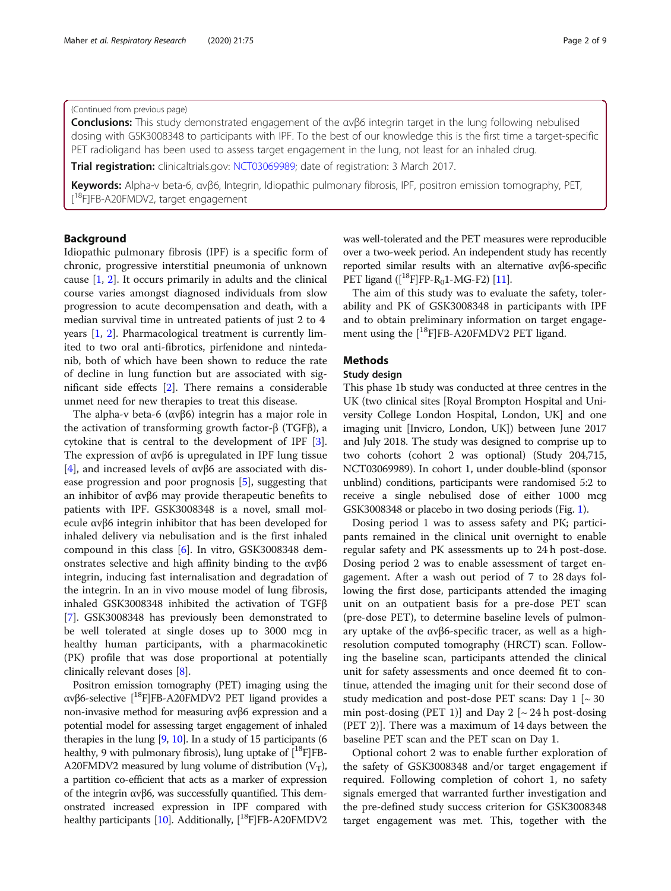#### (Continued from previous page)

**Conclusions:** This study demonstrated engagement of the  $\alpha\beta\beta$  integrin target in the lung following nebulised dosing with GSK3008348 to participants with IPF. To the best of our knowledge this is the first time a target-specific PET radioligand has been used to assess target engagement in the lung, not least for an inhaled drug.

Trial registration: clinicaltrials.gov: [NCT03069989](https://clinicaltrials.gov/ct2/show/NCT03069989); date of registration: 3 March 2017.

Keywords: Alpha-v beta-6, ανβ6, Integrin, Idiopathic pulmonary fibrosis, IPF, positron emission tomography, PET, [<sup>18</sup>F]FB-A20FMDV2, target engagement

#### Background

Idiopathic pulmonary fibrosis (IPF) is a specific form of chronic, progressive interstitial pneumonia of unknown cause [\[1](#page-7-0), [2](#page-7-0)]. It occurs primarily in adults and the clinical course varies amongst diagnosed individuals from slow progression to acute decompensation and death, with a median survival time in untreated patients of just 2 to 4 years [\[1](#page-7-0), [2\]](#page-7-0). Pharmacological treatment is currently limited to two oral anti-fibrotics, pirfenidone and nintedanib, both of which have been shown to reduce the rate of decline in lung function but are associated with significant side effects [[2\]](#page-7-0). There remains a considerable unmet need for new therapies to treat this disease.

The alpha-v beta-6 (αvβ6) integrin has a major role in the activation of transforming growth factor-β (TGFβ), a cytokine that is central to the development of IPF [\[3](#page-7-0)]. The expression of αvβ6 is upregulated in IPF lung tissue [[4\]](#page-7-0), and increased levels of αvβ6 are associated with disease progression and poor prognosis [[5\]](#page-7-0), suggesting that an inhibitor of αvβ6 may provide therapeutic benefits to patients with IPF. GSK3008348 is a novel, small molecule αvβ6 integrin inhibitor that has been developed for inhaled delivery via nebulisation and is the first inhaled compound in this class [[6\]](#page-7-0). In vitro, GSK3008348 demonstrates selective and high affinity binding to the αvβ6 integrin, inducing fast internalisation and degradation of the integrin. In an in vivo mouse model of lung fibrosis, inhaled GSK3008348 inhibited the activation of TGFβ [[7\]](#page-7-0). GSK3008348 has previously been demonstrated to be well tolerated at single doses up to 3000 mcg in healthy human participants, with a pharmacokinetic (PK) profile that was dose proportional at potentially clinically relevant doses [\[8](#page-7-0)].

Positron emission tomography (PET) imaging using the ανβ6-selective  $[$ <sup>18</sup>F]FB-A20FMDV2 PET ligand provides a non-invasive method for measuring αvβ6 expression and a potential model for assessing target engagement of inhaled therapies in the lung [\[9,](#page-7-0) [10](#page-7-0)]. In a study of 15 participants (6 healthy, 9 with pulmonary fibrosis), lung uptake of  $[^{18}F]FB-$ A20FMDV2 measured by lung volume of distribution  $(V_T)$ , a partition co-efficient that acts as a marker of expression of the integrin αvβ6, was successfully quantified. This demonstrated increased expression in IPF compared with healthy participants  $[10]$  $[10]$  $[10]$ . Additionally,  $[^{18}F]FB-A20FMDV2$  was well-tolerated and the PET measures were reproducible over a two-week period. An independent study has recently reported similar results with an alternative αvβ6-specific PET ligand  $([{}^{18}F]FP-R_01-MG-F2)$  [\[11\]](#page-7-0).

The aim of this study was to evaluate the safety, tolerability and PK of GSK3008348 in participants with IPF and to obtain preliminary information on target engagement using the  $[{}^{18}F]FB-A20FMDV2$  PET ligand.

#### Methods

#### Study design

This phase 1b study was conducted at three centres in the UK (two clinical sites [Royal Brompton Hospital and University College London Hospital, London, UK] and one imaging unit [Invicro, London, UK]) between June 2017 and July 2018. The study was designed to comprise up to two cohorts (cohort 2 was optional) (Study 204,715, NCT03069989). In cohort 1, under double-blind (sponsor unblind) conditions, participants were randomised 5:2 to receive a single nebulised dose of either 1000 mcg GSK3008348 or placebo in two dosing periods (Fig. [1\)](#page-2-0).

Dosing period 1 was to assess safety and PK; participants remained in the clinical unit overnight to enable regular safety and PK assessments up to 24 h post-dose. Dosing period 2 was to enable assessment of target engagement. After a wash out period of 7 to 28 days following the first dose, participants attended the imaging unit on an outpatient basis for a pre-dose PET scan (pre-dose PET), to determine baseline levels of pulmonary uptake of the αvβ6-specific tracer, as well as a highresolution computed tomography (HRCT) scan. Following the baseline scan, participants attended the clinical unit for safety assessments and once deemed fit to continue, attended the imaging unit for their second dose of study medication and post-dose PET scans: Day  $1$  [ $\sim$  30 min post-dosing (PET 1)] and Day 2  $\left[\sim 24 \text{ h post-dosing}\right]$ (PET 2)]. There was a maximum of 14 days between the baseline PET scan and the PET scan on Day 1.

Optional cohort 2 was to enable further exploration of the safety of GSK3008348 and/or target engagement if required. Following completion of cohort 1, no safety signals emerged that warranted further investigation and the pre-defined study success criterion for GSK3008348 target engagement was met. This, together with the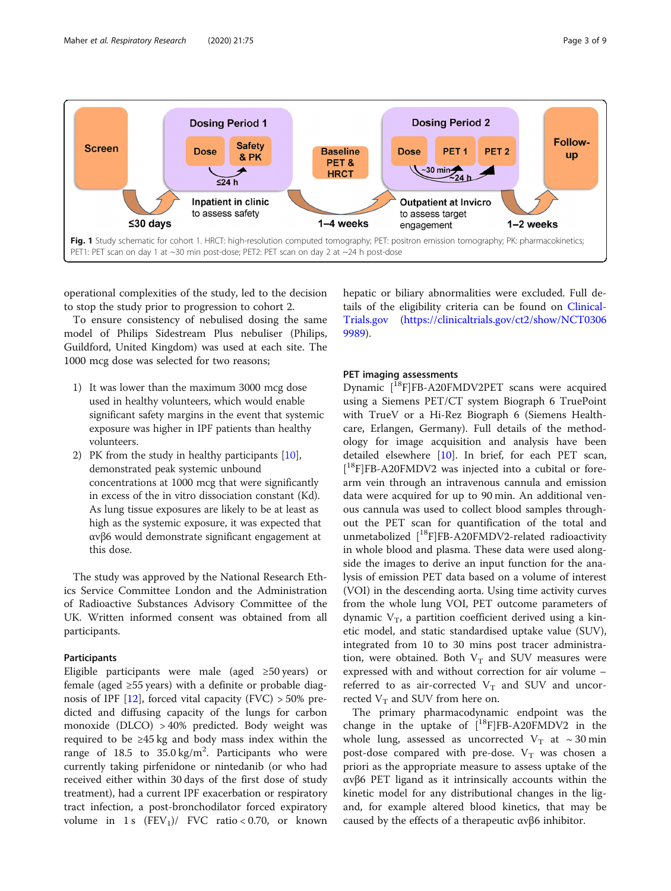<span id="page-2-0"></span>

operational complexities of the study, led to the decision to stop the study prior to progression to cohort 2.

To ensure consistency of nebulised dosing the same model of Philips Sidestream Plus nebuliser (Philips, Guildford, United Kingdom) was used at each site. The 1000 mcg dose was selected for two reasons;

- 1) It was lower than the maximum 3000 mcg dose used in healthy volunteers, which would enable significant safety margins in the event that systemic exposure was higher in IPF patients than healthy volunteers.
- 2) PK from the study in healthy participants [[10](#page-7-0)], demonstrated peak systemic unbound concentrations at 1000 mcg that were significantly in excess of the in vitro dissociation constant (Kd). As lung tissue exposures are likely to be at least as high as the systemic exposure, it was expected that αvβ6 would demonstrate significant engagement at this dose.

The study was approved by the National Research Ethics Service Committee London and the Administration of Radioactive Substances Advisory Committee of the UK. Written informed consent was obtained from all participants.

#### Participants

Eligible participants were male (aged ≥50 years) or female (aged  $\geq 55$  years) with a definite or probable diagnosis of IPF  $[12]$  $[12]$ , forced vital capacity (FVC) > 50% predicted and diffusing capacity of the lungs for carbon monoxide (DLCO) > 40% predicted. Body weight was required to be ≥45 kg and body mass index within the range of  $18.5$  to  $35.0 \text{ kg/m}^2$ . Participants who were currently taking pirfenidone or nintedanib (or who had received either within 30 days of the first dose of study treatment), had a current IPF exacerbation or respiratory tract infection, a post-bronchodilator forced expiratory volume in 1 s  $(FEV_1)/$  FVC ratio < 0.70, or known

hepatic or biliary abnormalities were excluded. Full details of the eligibility criteria can be found on [Clinical-](http://clinicaltrials.gov)[Trials.gov](http://clinicaltrials.gov) ([https://clinicaltrials.gov/ct2/show/NCT0306](https://clinicaltrials.gov/ct2/show/NCT03069989) [9989](https://clinicaltrials.gov/ct2/show/NCT03069989)).

#### PET imaging assessments

Dynamic [18F]FB-A20FMDV2PET scans were acquired using a Siemens PET/CT system Biograph 6 TruePoint with TrueV or a Hi-Rez Biograph 6 (Siemens Healthcare, Erlangen, Germany). Full details of the methodology for image acquisition and analysis have been detailed elsewhere [\[10](#page-7-0)]. In brief, for each PET scan, [ 18F]FB-A20FMDV2 was injected into a cubital or forearm vein through an intravenous cannula and emission data were acquired for up to 90 min. An additional venous cannula was used to collect blood samples throughout the PET scan for quantification of the total and unmetabolized [18F]FB-A20FMDV2-related radioactivity in whole blood and plasma. These data were used alongside the images to derive an input function for the analysis of emission PET data based on a volume of interest (VOI) in the descending aorta. Using time activity curves from the whole lung VOI, PET outcome parameters of dynamic  $V_T$ , a partition coefficient derived using a kinetic model, and static standardised uptake value (SUV), integrated from 10 to 30 mins post tracer administration, were obtained. Both  $V_T$  and SUV measures were expressed with and without correction for air volume – referred to as air-corrected  $V_T$  and SUV and uncorrected  $V_T$  and SUV from here on.

The primary pharmacodynamic endpoint was the change in the uptake of  $[^{18}F]FB-A20FMDV2$  in the whole lung, assessed as uncorrected V $_T$  at  $\sim$  30 min post-dose compared with pre-dose.  $V_T$  was chosen a priori as the appropriate measure to assess uptake of the αvβ6 PET ligand as it intrinsically accounts within the kinetic model for any distributional changes in the ligand, for example altered blood kinetics, that may be caused by the effects of a therapeutic αvβ6 inhibitor.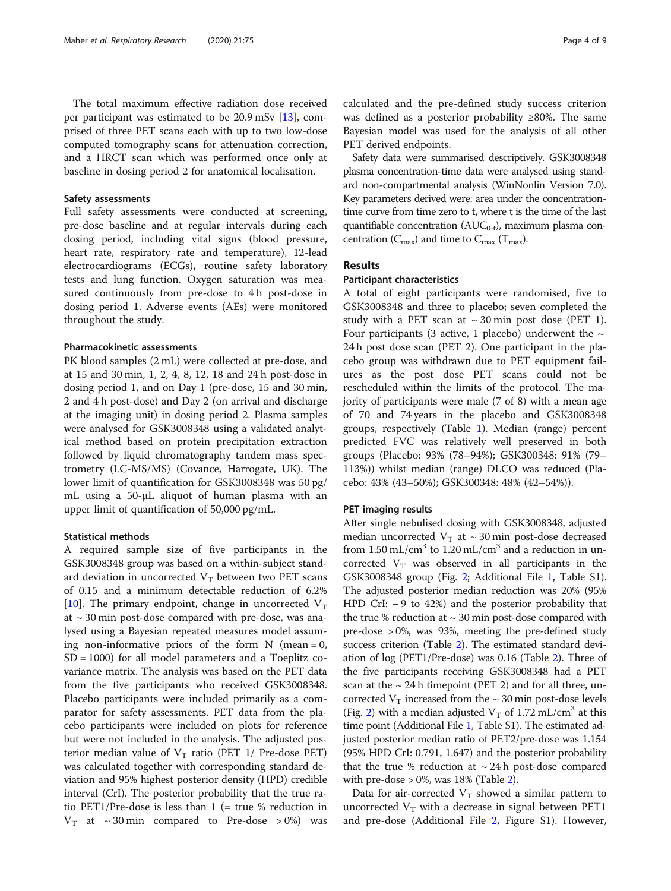The total maximum effective radiation dose received per participant was estimated to be 20.9 mSv [[13](#page-8-0)], comprised of three PET scans each with up to two low-dose computed tomography scans for attenuation correction, and a HRCT scan which was performed once only at baseline in dosing period 2 for anatomical localisation.

#### Safety assessments

Full safety assessments were conducted at screening, pre-dose baseline and at regular intervals during each dosing period, including vital signs (blood pressure, heart rate, respiratory rate and temperature), 12-lead electrocardiograms (ECGs), routine safety laboratory tests and lung function. Oxygen saturation was measured continuously from pre-dose to 4 h post-dose in dosing period 1. Adverse events (AEs) were monitored throughout the study.

#### Pharmacokinetic assessments

PK blood samples (2 mL) were collected at pre-dose, and at 15 and 30 min, 1, 2, 4, 8, 12, 18 and 24 h post-dose in dosing period 1, and on Day 1 (pre-dose, 15 and 30 min, 2 and 4 h post-dose) and Day 2 (on arrival and discharge at the imaging unit) in dosing period 2. Plasma samples were analysed for GSK3008348 using a validated analytical method based on protein precipitation extraction followed by liquid chromatography tandem mass spectrometry (LC-MS/MS) (Covance, Harrogate, UK). The lower limit of quantification for GSK3008348 was 50 pg/ mL using a 50-μL aliquot of human plasma with an upper limit of quantification of 50,000 pg/mL.

#### Statistical methods

A required sample size of five participants in the GSK3008348 group was based on a within-subject standard deviation in uncorrected  $V_T$  between two PET scans of 0.15 and a minimum detectable reduction of 6.2% [[10\]](#page-7-0). The primary endpoint, change in uncorrected  $V_T$ at  $\sim$  30 min post-dose compared with pre-dose, was analysed using a Bayesian repeated measures model assuming non-informative priors of the form  $N$  (mean = 0, SD = 1000) for all model parameters and a Toeplitz covariance matrix. The analysis was based on the PET data from the five participants who received GSK3008348. Placebo participants were included primarily as a comparator for safety assessments. PET data from the placebo participants were included on plots for reference but were not included in the analysis. The adjusted posterior median value of  $V_T$  ratio (PET 1/ Pre-dose PET) was calculated together with corresponding standard deviation and 95% highest posterior density (HPD) credible interval (CrI). The posterior probability that the true ratio PET1/Pre-dose is less than  $1$  (= true % reduction in  $V_T$  at ~30 min compared to Pre-dose > 0%) was calculated and the pre-defined study success criterion was defined as a posterior probability ≥80%. The same Bayesian model was used for the analysis of all other PET derived endpoints.

Safety data were summarised descriptively. GSK3008348 plasma concentration-time data were analysed using standard non-compartmental analysis (WinNonlin Version 7.0). Key parameters derived were: area under the concentrationtime curve from time zero to t, where t is the time of the last quantifiable concentration  $(AUC_{0-t})$ , maximum plasma concentration  $(C_{\text{max}})$  and time to  $C_{\text{max}}$  (T<sub>max</sub>).

#### Results

#### Participant characteristics

A total of eight participants were randomised, five to GSK3008348 and three to placebo; seven completed the study with a PET scan at  $\sim$  30 min post dose (PET 1). Four participants (3 active, 1 placebo) underwent the  $\sim$ 24 h post dose scan (PET 2). One participant in the placebo group was withdrawn due to PET equipment failures as the post dose PET scans could not be rescheduled within the limits of the protocol. The majority of participants were male (7 of 8) with a mean age of 70 and 74 years in the placebo and GSK3008348 groups, respectively (Table [1\)](#page-4-0). Median (range) percent predicted FVC was relatively well preserved in both groups (Placebo: 93% (78–94%); GSK300348: 91% (79– 113%)) whilst median (range) DLCO was reduced (Placebo: 43% (43–50%); GSK300348: 48% (42–54%)).

#### PET imaging results

After single nebulised dosing with GSK3008348, adjusted median uncorrected  $V_T$  at ~ 30 min post-dose decreased from  $1.50$  mL/cm<sup>3</sup> to  $1.20$  mL/cm<sup>3</sup> and a reduction in uncorrected  $V_T$  was observed in all participants in the GSK3008348 group (Fig. [2;](#page-4-0) Additional File [1,](#page-7-0) Table S1). The adjusted posterior median reduction was 20% (95% HPD CrI: −9 to 42%) and the posterior probability that the true % reduction at  $\sim$  30 min post-dose compared with pre-dose > 0%, was 93%, meeting the pre-defined study success criterion (Table [2\)](#page-5-0). The estimated standard deviation of log (PET1/Pre-dose) was 0.16 (Table [2](#page-5-0)). Three of the five participants receiving GSK3008348 had a PET scan at the  $\sim$  24 h timepoint (PET 2) and for all three, uncorrected  $\mathrm{V_{T}}$  increased from the  $\sim 30$  min post-dose levels (Fig. [2\)](#page-4-0) with a median adjusted  $V_T$  of 1.72 mL/cm<sup>3</sup> at this time point (Additional File [1,](#page-7-0) Table S1). The estimated adjusted posterior median ratio of PET2/pre-dose was 1.154 (95% HPD CrI: 0.791, 1.647) and the posterior probability that the true % reduction at  $\sim$  24 h post-dose compared with pre-dose  $> 0\%$ , was 18% (Table [2](#page-5-0)).

Data for air-corrected  $V_T$  showed a similar pattern to uncorrected  $V_T$  with a decrease in signal between PET1 and pre-dose (Additional File [2](#page-7-0), Figure S1). However,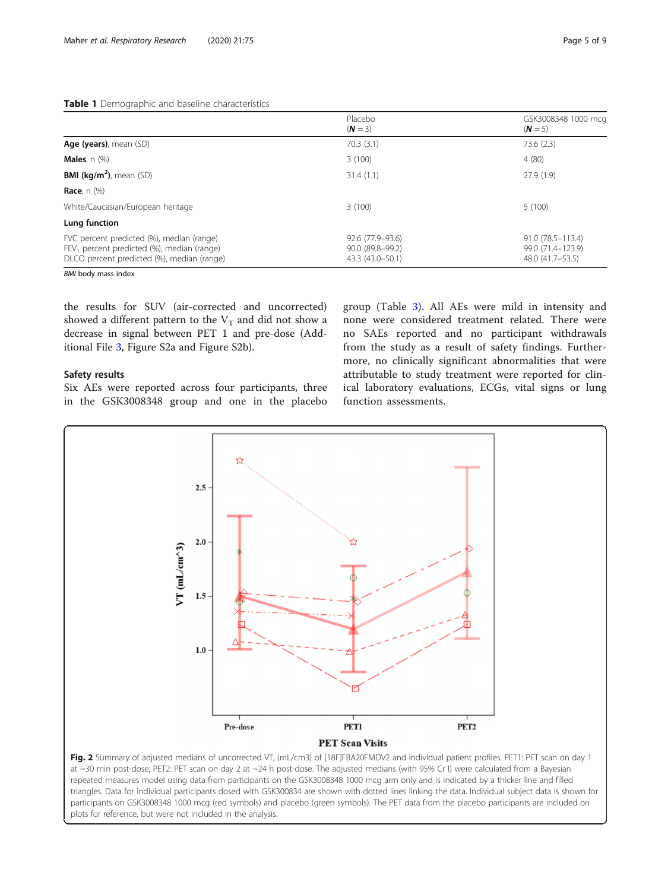#### <span id="page-4-0"></span>Table 1 Demographic and baseline characteristics

|                                                                                                                                         | Placebo<br>$(N = 3)$                                     | GSK3008348 1000 mcg<br>$(N=5)$                               |
|-----------------------------------------------------------------------------------------------------------------------------------------|----------------------------------------------------------|--------------------------------------------------------------|
| Age (years), mean (SD)                                                                                                                  | 70.3(3.1)                                                | 73.6 (2.3)                                                   |
| <b>Males</b> , $n$ $(\%)$                                                                                                               | 3(100)                                                   | 4(80)                                                        |
| <b>BMI (kg/m<sup>2</sup>)</b> , mean (SD)                                                                                               | 31.4(1.1)                                                | 27.9(1.9)                                                    |
| Race, $n$ $(\%)$                                                                                                                        |                                                          |                                                              |
| White/Caucasian/European heritage                                                                                                       | 3(100)                                                   | 5(100)                                                       |
| Lung function                                                                                                                           |                                                          |                                                              |
| FVC percent predicted (%), median (range)<br>$FEV1$ percent predicted (%), median (range)<br>DLCO percent predicted (%), median (range) | 92.6 (77.9-93.6)<br>90.0 (89.8-99.2)<br>43.3 (43.0-50.1) | 91.0 (78.5-113.4)<br>99.0 (71.4-123.9)<br>48.0 (41.7 - 53.5) |

BMI body mass index

the results for SUV (air-corrected and uncorrected) showed a different pattern to the  $V_T$  and did not show a decrease in signal between PET 1 and pre-dose (Additional File [3,](#page-7-0) Figure S2a and Figure S2b).

#### Safety results

Six AEs were reported across four participants, three in the GSK3008348 group and one in the placebo group (Table [3](#page-5-0)). All AEs were mild in intensity and none were considered treatment related. There were no SAEs reported and no participant withdrawals from the study as a result of safety findings. Furthermore, no clinically significant abnormalities that were attributable to study treatment were reported for clinical laboratory evaluations, ECGs, vital signs or lung function assessments.



Fig. 2 Summary of adjusted medians of uncorrected VT, (mL/cm3) of [18F]FBA20FMDV2 and individual patient profiles. PET1: PET scan on day 1 at ~30 min post-dose; PET2: PET scan on day 2 at ~24 h post-dose. The adjusted medians (with 95% Cr I) were calculated from a Bayesian repeated measures model using data from participants on the GSK3008348 1000 mcg arm only and is indicated by a thicker line and filled triangles. Data for individual participants dosed with GSK300834 are shown with dotted lines linking the data. Individual subject data is shown for participants on GSK3008348 1000 mcg (red symbols) and placebo (green symbols). The PET data from the placebo participants are included on plots for reference, but were not included in the analysis.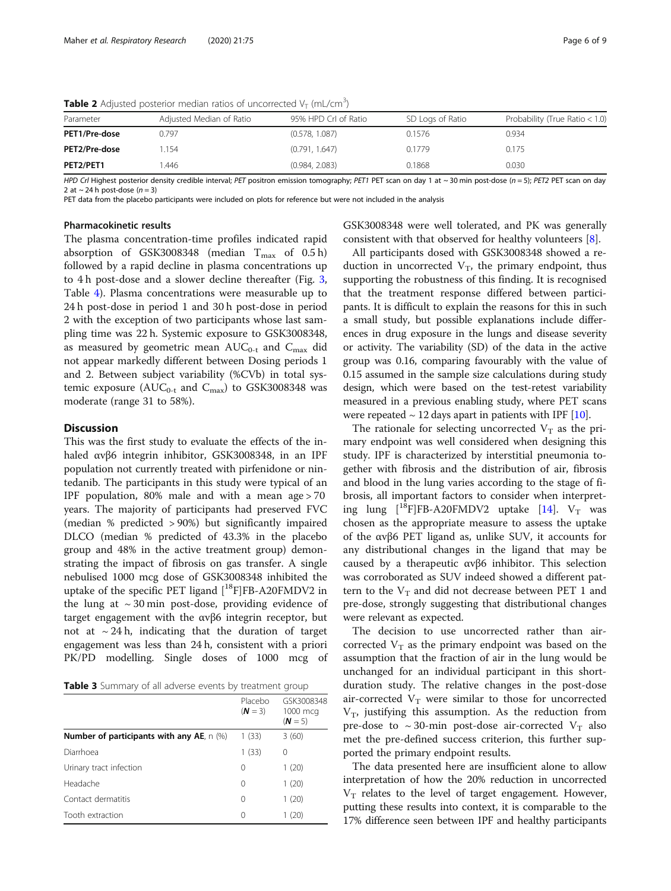| Parameter     | Adjusted Median of Ratio | 95% HPD Crl of Ratio | SD Logs of Ratio | Probability (True Ratio $< 1.0$ ) |
|---------------|--------------------------|----------------------|------------------|-----------------------------------|
| PET1/Pre-dose | 0.797                    | (0.578, 1.087)       | 0.1576           | 0.934                             |
| PET2/Pre-dose | .154                     | (0.791, 1.647)       | 0.1779           | 0.175                             |
| PET2/PET1     | .446                     | (0.984, 2.083)       | 0.1868           | 0.030                             |

<span id="page-5-0"></span>**Table 2** Adjusted posterior median ratios of uncorrected V<sub>T</sub> (mL/cm<sup>3</sup>)

HPD Crl Highest posterior density credible interval; PET positron emission tomography; PET1 PET scan on day 1 at ~30 min post-dose (n = 5); PET2 PET scan on day 2 at  $\sim$  24 h post-dose ( $n = 3$ )

PET data from the placebo participants were included on plots for reference but were not included in the analysis

#### Pharmacokinetic results

The plasma concentration-time profiles indicated rapid absorption of GSK3008348 (median  $T_{\text{max}}$  of 0.5 h) followed by a rapid decline in plasma concentrations up to 4 h post-dose and a slower decline thereafter (Fig. [3](#page-6-0), Table [4](#page-6-0)). Plasma concentrations were measurable up to 24 h post-dose in period 1 and 30 h post-dose in period 2 with the exception of two participants whose last sampling time was 22 h. Systemic exposure to GSK3008348, as measured by geometric mean  $AUC_{0-t}$  and  $C_{\text{max}}$  did not appear markedly different between Dosing periods 1 and 2. Between subject variability (%CVb) in total systemic exposure ( $AUC_{0-t}$  and  $C_{\text{max}}$ ) to GSK3008348 was moderate (range 31 to 58%).

#### **Discussion**

This was the first study to evaluate the effects of the inhaled αvβ6 integrin inhibitor, GSK3008348, in an IPF population not currently treated with pirfenidone or nintedanib. The participants in this study were typical of an IPF population,  $80\%$  male and with a mean age  $> 70$ years. The majority of participants had preserved FVC (median % predicted > 90%) but significantly impaired DLCO (median % predicted of 43.3% in the placebo group and 48% in the active treatment group) demonstrating the impact of fibrosis on gas transfer. A single nebulised 1000 mcg dose of GSK3008348 inhibited the uptake of the specific PET ligand  $[{}^{18}F]FB-A20FMDV2$  in the lung at  $\sim$  30 min post-dose, providing evidence of target engagement with the αvβ6 integrin receptor, but not at  $\sim$  24 h, indicating that the duration of target engagement was less than 24 h, consistent with a priori PK/PD modelling. Single doses of 1000 mcg of

Table 3 Summary of all adverse events by treatment group

|                                             | Placebo<br>$(N = 3)$ | GSK3008348<br>1000 mcg<br>$(N = 5)$ |
|---------------------------------------------|----------------------|-------------------------------------|
| Number of participants with any AE, $n$ (%) | 1(33)                | 3(60)                               |
| Diarrhoea                                   | 1(33)                | 0                                   |
| Urinary tract infection                     | 0                    | 1(20)                               |
| Headache                                    | $\Omega$             | 1(20)                               |
| Contact dermatitis                          | $\Omega$             | 1(20)                               |
| Tooth extraction                            | $\Omega$             | 1 (20)                              |

GSK3008348 were well tolerated, and PK was generally consistent with that observed for healthy volunteers [\[8](#page-7-0)].

All participants dosed with GSK3008348 showed a reduction in uncorrected  $V_T$ , the primary endpoint, thus supporting the robustness of this finding. It is recognised that the treatment response differed between participants. It is difficult to explain the reasons for this in such a small study, but possible explanations include differences in drug exposure in the lungs and disease severity or activity. The variability (SD) of the data in the active group was 0.16, comparing favourably with the value of 0.15 assumed in the sample size calculations during study design, which were based on the test-retest variability measured in a previous enabling study, where PET scans were repeated  $\sim$  12 days apart in patients with IPF [[10](#page-7-0)].

The rationale for selecting uncorrected  $V_T$  as the primary endpoint was well considered when designing this study. IPF is characterized by interstitial pneumonia together with fibrosis and the distribution of air, fibrosis and blood in the lung varies according to the stage of fibrosis, all important factors to consider when interpreting lung  $[^{18}F]FB-A20FMDV2$  uptake  $[14]$  $[14]$ . V<sub>T</sub> was chosen as the appropriate measure to assess the uptake of the αvβ6 PET ligand as, unlike SUV, it accounts for any distributional changes in the ligand that may be caused by a therapeutic αvβ6 inhibitor. This selection was corroborated as SUV indeed showed a different pattern to the  $V_T$  and did not decrease between PET 1 and pre-dose, strongly suggesting that distributional changes were relevant as expected.

The decision to use uncorrected rather than aircorrected  $V_T$  as the primary endpoint was based on the assumption that the fraction of air in the lung would be unchanged for an individual participant in this shortduration study. The relative changes in the post-dose air-corrected  $V_T$  were similar to those for uncorrected  $V_T$ , justifying this assumption. As the reduction from pre-dose to  $\sim$  30-min post-dose air-corrected V<sub>T</sub> also met the pre-defined success criterion, this further supported the primary endpoint results.

The data presented here are insufficient alone to allow interpretation of how the 20% reduction in uncorrected  $V_T$  relates to the level of target engagement. However, putting these results into context, it is comparable to the 17% difference seen between IPF and healthy participants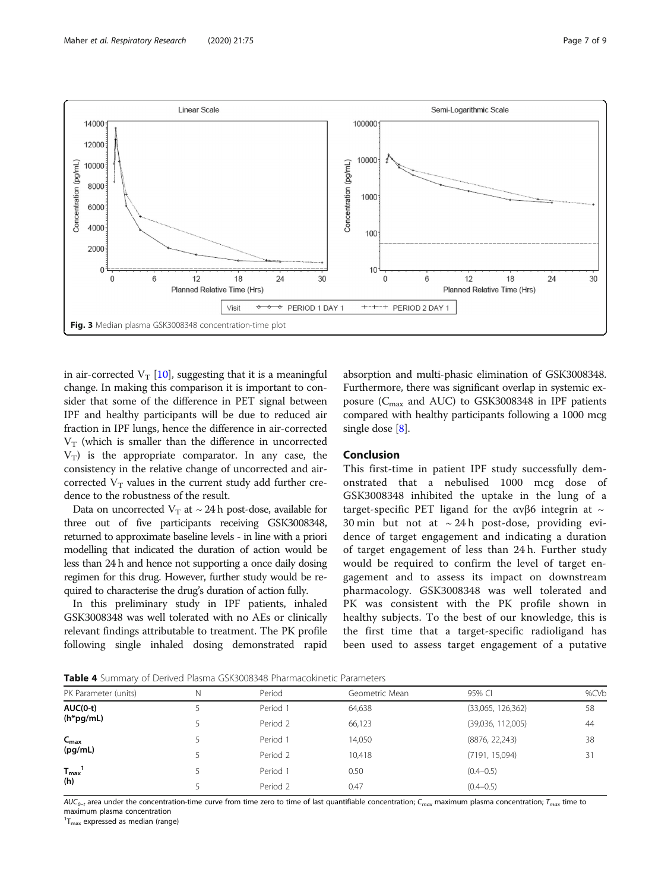<span id="page-6-0"></span>

in air-corrected  $V_T$  [[10](#page-7-0)], suggesting that it is a meaningful change. In making this comparison it is important to consider that some of the difference in PET signal between IPF and healthy participants will be due to reduced air fraction in IPF lungs, hence the difference in air-corrected  $V_T$  (which is smaller than the difference in uncorrected  $V_T$ ) is the appropriate comparator. In any case, the consistency in the relative change of uncorrected and aircorrected  $V_T$  values in the current study add further credence to the robustness of the result.

Data on uncorrected  $V_T$  at  $\sim$  24 h post-dose, available for three out of five participants receiving GSK3008348, returned to approximate baseline levels - in line with a priori modelling that indicated the duration of action would be less than 24 h and hence not supporting a once daily dosing regimen for this drug. However, further study would be required to characterise the drug's duration of action fully.

In this preliminary study in IPF patients, inhaled GSK3008348 was well tolerated with no AEs or clinically relevant findings attributable to treatment. The PK profile following single inhaled dosing demonstrated rapid absorption and multi-phasic elimination of GSK3008348. Furthermore, there was significant overlap in systemic exposure ( $C_{\text{max}}$  and AUC) to GSK3008348 in IPF patients compared with healthy participants following a 1000 mcg single dose [\[8\]](#page-7-0).

#### Conclusion

This first-time in patient IPF study successfully demonstrated that a nebulised 1000 mcg dose of GSK3008348 inhibited the uptake in the lung of a target-specific PET ligand for the αvβ6 integrin at  $\sim$ 30 min but not at  $\sim$  24 h post-dose, providing evidence of target engagement and indicating a duration of target engagement of less than 24 h. Further study would be required to confirm the level of target engagement and to assess its impact on downstream pharmacology. GSK3008348 was well tolerated and PK was consistent with the PK profile shown in healthy subjects. To the best of our knowledge, this is the first time that a target-specific radioligand has been used to assess target engagement of a putative

Table 4 Summary of Derived Plasma GSK3008348 Pharmacokinetic Parameters

| <b>TWAIG</b> T JUITINITY OF DETICATIONING GUIDOOOJ TO FINITIACOMITENE FUNITICLED |   |          |                |                   |      |  |  |
|----------------------------------------------------------------------------------|---|----------|----------------|-------------------|------|--|--|
| PK Parameter (units)                                                             | N | Period   | Geometric Mean | 95% CI            | %CVb |  |  |
| $AUC(0-t)$<br>$(h * pq/mL)$                                                      |   | Period 1 | 64,638         | (33,065, 126,362) | 58   |  |  |
|                                                                                  |   | Period 2 | 66,123         | (39,036, 112,005) | 44   |  |  |
| $C_{\text{max}}$<br>(pq/mL)                                                      |   | Period 1 | 14,050         | (8876, 22, 243)   | 38   |  |  |
|                                                                                  |   | Period 2 | 10,418         | (7191, 15,094)    | 31   |  |  |
| $T_{\text{max}}$ <sup>1</sup><br>(h)                                             |   | Period 1 | 0.50           | $(0.4 - 0.5)$     |      |  |  |
|                                                                                  |   | Period 2 | 0.47           | $(0.4 - 0.5)$     |      |  |  |

 $AUC_{0-1}$  area under the concentration-time curve from time zero to time of last quantifiable concentration;  $C_{max}$  maximum plasma concentration;  $T_{max}$  time to maximum plasma concentration

<sup>1</sup>T<sub>max</sub> expressed as median (range)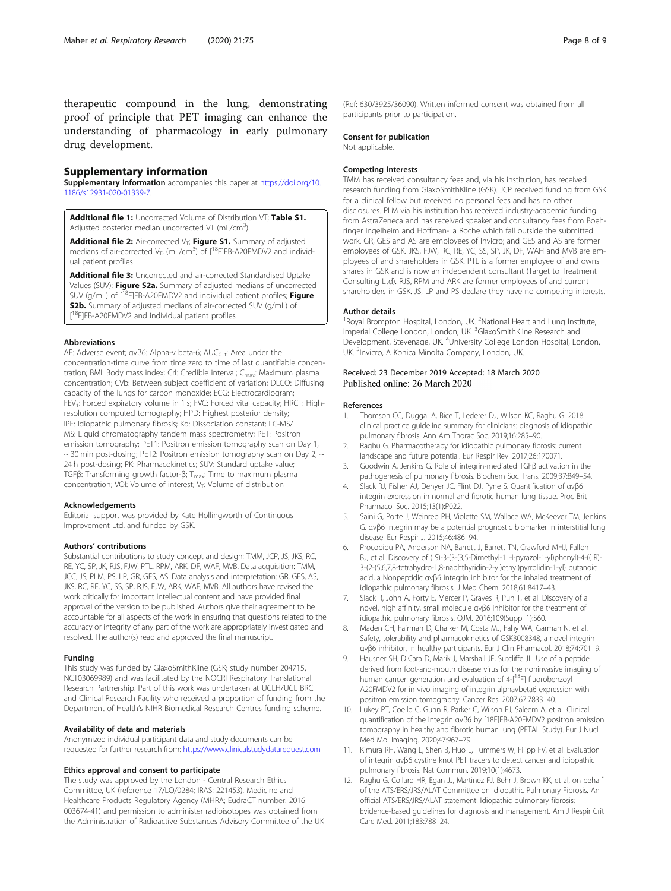<span id="page-7-0"></span>therapeutic compound in the lung, demonstrating proof of principle that PET imaging can enhance the understanding of pharmacology in early pulmonary drug development.

#### Supplementary information

Supplementary information accompanies this paper at [https://doi.org/10.](https://doi.org/10.1186/s12931-020-01339-7) [1186/s12931-020-01339-7](https://doi.org/10.1186/s12931-020-01339-7).

Additional file 1: Uncorrected Volume of Distribution VT: Table S1. Adjusted posterior median uncorrected VT (mL/cm<sup>3</sup>).

Additional file 2: Air-corrected  $V<sub>T</sub>$ ; Figure S1. Summary of adjusted medians of air-corrected  $V_T$ , (mL/cm<sup>3</sup>) of  $[^{18}$ FJFB-A20FMDV2 and individual patient profiles

Additional file 3: Uncorrected and air-corrected Standardised Uptake Values (SUV): Figure S2a. Summary of adjusted medians of uncorrected SUV (g/mL) of [<sup>18</sup>F]FB-A20FMDV2 and individual patient profiles; Figure S2b. Summary of adjusted medians of air-corrected SUV (g/mL) of [  ${}^{8}$ FIFB-A20FMDV2 and individual patient profiles

#### Abbreviations

AE: Adverse event; ανβ6: Alpha-v beta-6; AUC<sub>0-t</sub>: Area under the concentration-time curve from time zero to time of last quantifiable concentration; BMI: Body mass index; CrI: Credible interval; C<sub>max</sub>: Maximum plasma concentration; CVb: Between subject coefficient of variation; DLCO: Diffusing capacity of the lungs for carbon monoxide; ECG: Electrocardiogram; FEV<sub>1</sub>: Forced expiratory volume in 1 s; FVC: Forced vital capacity; HRCT: Highresolution computed tomography; HPD: Highest posterior density; IPF: Idiopathic pulmonary fibrosis; Kd: Dissociation constant; LC-MS/ MS: Liquid chromatography tandem mass spectrometry; PET: Positron emission tomography; PET1: Positron emission tomography scan on Day 1,  $\sim$  30 min post-dosing; PET2: Positron emission tomography scan on Day 2,  $\sim$ 24 h post-dosing; PK: Pharmacokinetics; SUV: Standard uptake value; TGFβ: Transforming growth factor-β; T<sub>max</sub>: Time to maximum plasma concentration; VOI: Volume of interest;  $V_T$ : Volume of distribution

#### Acknowledgements

Editorial support was provided by Kate Hollingworth of Continuous Improvement Ltd. and funded by GSK.

#### Authors' contributions

Substantial contributions to study concept and design: TMM, JCP, JS, JKS, RC, RE, YC, SP, JK, RJS, FJW, PTL, RPM, ARK, DF, WAF, MVB. Data acquisition: TMM, JCC, JS, PLM, PS, LP, GR, GES, AS. Data analysis and interpretation: GR, GES, AS, JKS, RC, RE, YC, SS, SP, RJS, FJW, ARK, WAF, MVB. All authors have revised the work critically for important intellectual content and have provided final approval of the version to be published. Authors give their agreement to be accountable for all aspects of the work in ensuring that questions related to the accuracy or integrity of any part of the work are appropriately investigated and resolved. The author(s) read and approved the final manuscript.

#### Funding

This study was funded by GlaxoSmithKline (GSK; study number 204715, NCT03069989) and was facilitated by the NOCRI Respiratory Translational Research Partnership. Part of this work was undertaken at UCLH/UCL BRC and Clinical Research Facility who received a proportion of funding from the Department of Health's NIHR Biomedical Research Centres funding scheme.

#### Availability of data and materials

Anonymized individual participant data and study documents can be requested for further research from: <https://www.clinicalstudydatarequest.com>

#### Ethics approval and consent to participate

The study was approved by the London - Central Research Ethics Committee, UK (reference 17/LO/0284; IRAS: 221453), Medicine and Healthcare Products Regulatory Agency (MHRA; EudraCT number: 2016– 003674-41) and permission to administer radioisotopes was obtained from the Administration of Radioactive Substances Advisory Committee of the UK

(Ref: 630/3925/36090). Written informed consent was obtained from all participants prior to participation.

#### Consent for publication

Not applicable.

#### Competing interests

TMM has received consultancy fees and, via his institution, has received research funding from GlaxoSmithKline (GSK). JCP received funding from GSK for a clinical fellow but received no personal fees and has no other disclosures. PLM via his institution has received industry-academic funding from AstraZeneca and has received speaker and consultancy fees from Boehringer Ingelheim and Hoffman-La Roche which fall outside the submitted work. GR, GES and AS are employees of Invicro; and GES and AS are former employees of GSK. JKS, FJW, RC, RE, YC, SS, SP, JK, DF, WAH and MVB are employees of and shareholders in GSK. PTL is a former employee of and owns shares in GSK and is now an independent consultant (Target to Treatment Consulting Ltd). RJS, RPM and ARK are former employees of and current shareholders in GSK. JS, LP and PS declare they have no competing interests.

#### Author details

<sup>1</sup> Royal Brompton Hospital, London, UK. <sup>2</sup> National Heart and Lung Institute Imperial College London, London, UK. <sup>3</sup>GlaxoSmithKline Research and Development, Stevenage, UK. <sup>4</sup>University College London Hospital, London UK. <sup>5</sup>Invicro, A Konica Minolta Company, London, UK

## Received: 23 December 2019 Accepted: 18 March 2020

#### References

- Thomson CC, Duggal A, Bice T, Lederer DJ, Wilson KC, Raghu G. 2018 clinical practice guideline summary for clinicians: diagnosis of idiopathic pulmonary fibrosis. Ann Am Thorac Soc. 2019;16:285–90.
- 2. Raghu G. Pharmacotherapy for idiopathic pulmonary fibrosis: current landscape and future potential. Eur Respir Rev. 2017;26:170071.
- 3. Goodwin A, Jenkins G. Role of integrin-mediated TGFβ activation in the pathogenesis of pulmonary fibrosis. Biochem Soc Trans. 2009;37:849–54.
- 4. Slack RJ, Fisher AJ, Denyer JC, Flint DJ, Pyne S. Quantification of αvβ6 integrin expression in normal and fibrotic human lung tissue. Proc Brit Pharmacol Soc. 2015;13(1):P022.
- 5. Saini G, Porte J, Weinreb PH, Violette SM, Wallace WA, McKeever TM, Jenkins G. αvβ6 integrin may be a potential prognostic biomarker in interstitial lung disease. Eur Respir J. 2015;46:486–94.
- 6. Procopiou PA, Anderson NA, Barrett J, Barrett TN, Crawford MHJ, Fallon BJ, et al. Discovery of ( S)-3-(3-(3,5-Dimethyl-1 H-pyrazol-1-yl)phenyl)-4-(( R)- 3-(2-(5,6,7,8-tetrahydro-1,8-naphthyridin-2-yl)ethyl)pyrrolidin-1-yl) butanoic acid, a Nonpeptidic αvβ6 integrin inhibitor for the inhaled treatment of idiopathic pulmonary fibrosis. J Med Chem. 2018;61:8417–43.
- 7. Slack R, John A, Forty E, Mercer P, Graves R, Pun T, et al. Discovery of a novel, high affinity, small molecule αvβ6 inhibitor for the treatment of idiopathic pulmonary fibrosis. QJM. 2016;109(Suppl 1):S60.
- Maden CH, Fairman D, Chalker M, Costa MJ, Fahy WA, Garman N, et al. Safety, tolerability and pharmacokinetics of GSK3008348, a novel integrin αvβ6 inhibitor, in healthy participants. Eur J Clin Pharmacol. 2018;74:701–9.
- 9. Hausner SH, DiCara D, Marik J, Marshall JF, Sutcliffe JL. Use of a peptide derived from foot-and-mouth disease virus for the noninvasive imaging of human cancer: generation and evaluation of 4-[<sup>18</sup>F] fluorobenzoyl A20FMDV2 for in vivo imaging of integrin alphavbeta6 expression with positron emission tomography. Cancer Res. 2007;67:7833–40.
- 10. Lukey PT, Coello C, Gunn R, Parker C, Wilson FJ, Saleem A, et al. Clinical quantification of the integrin αvβ6 by [18F]FB-A20FMDV2 positron emission tomography in healthy and fibrotic human lung (PETAL Study). Eur J Nucl Med Mol Imaging. 2020;47:967–79.
- 11. Kimura RH, Wang L, Shen B, Huo L, Tummers W, Filipp FV, et al. Evaluation of integrin αvβ6 cystine knot PET tracers to detect cancer and idiopathic pulmonary fibrosis. Nat Commun. 2019;10(1):4673.
- 12. Raghu G, Collard HR, Egan JJ, Martinez FJ, Behr J, Brown KK, et al, on behalf of the ATS/ERS/JRS/ALAT Committee on Idiopathic Pulmonary Fibrosis. An official ATS/ERS/JRS/ALAT statement: Idiopathic pulmonary fibrosis: Evidence-based guidelines for diagnosis and management. Am J Respir Crit Care Med. 2011;183:788–24.